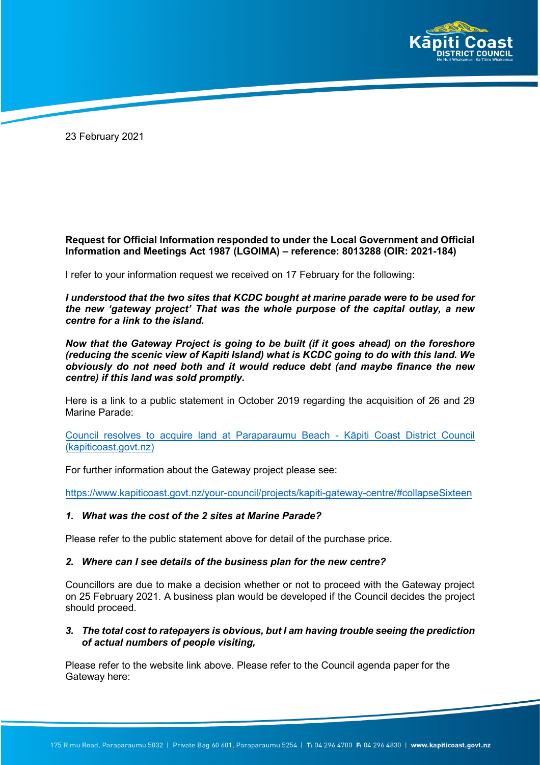

23 February 2021

# **Request for Official Information responded to under the Local Government and Official Information and Meetings Act 1987 (LGOIMA) – reference: 8013288 (OIR: 2021-184)**

I refer to your information request we received on 17 February for the following:

*I understood that the two sites that KCDC bought at marine parade were to be used for the new 'gateway project' That was the whole purpose of the capital outlay, a new centre for a link to the island.*

*Now that the Gateway Project is going to be built (if it goes ahead) on the foreshore (reducing the scenic view of Kapiti Island) what is KCDC going to do with this land. We obviously do not need both and it would reduce debt (and maybe finance the new centre) if this land was sold promptly.*

Here is a link to a public statement in October 2019 regarding the acquisition of 26 and 29 Marine Parade:

[Council resolves to acquire land at Paraparaumu Beach](https://www.kapiticoast.govt.nz/whats-on/news/2019/council-resolves-to-acquire-land-at-paraparaumu-beach/) - Kāpiti Coast District Council [\(kapiticoast.govt.nz\)](https://www.kapiticoast.govt.nz/whats-on/news/2019/council-resolves-to-acquire-land-at-paraparaumu-beach/)

For further information about the Gateway project please see:

https://www.kapiticoast.govt.nz/your-council/projects/kapiti-gateway-centre/#collapseSixteen

### *1. What was the cost of the 2 sites at Marine Parade?*

Please refer to the public statement above for detail of the purchase price.

### *2. Where can I see details of the business plan for the new centre?*

Councillors are due to make a decision whether or not to proceed with the Gateway project on 25 February 2021. A business plan would be developed if the Council decides the project should proceed.

### *3. The total cost to ratepayers is obvious, but I am having trouble seeing the prediction of actual numbers of people visiting,*

Please refer to the website link above. Please refer to the Council agenda paper for the Gateway here: